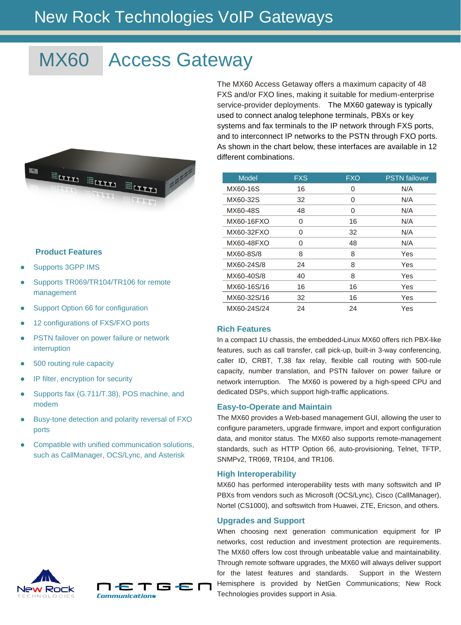## New Rock Technologies VoIP Gateways

# MX60 Access Gateway



#### **Product Features**

- Supports 3GPP IMS
- Supports TR069/TR104/TR106 for remote management
- Support Option 66 for configuration
- 12 configurations of FXS/FXO ports
- **PSTN failover on power failure or network** interruption
- 500 routing rule capacity
- IP filter, encryption for security
- Supports fax (G.711/T.38), POS machine, and modem
- Busy-tone detection and polarity reversal of FXO ports
- Compatible with unified communication solutions, such as CallManager, OCS/Lync, and Asterisk



The MX60 Access Getaway offers a maximum capacity of 48 FXS and/or FXO lines, making it suitable for medium-enterprise service-provider deployments. The MX60 gateway is typically used to connect analog telephone terminals, PBXs or key systems and fax terminals to the IP network through FXS ports, and to interconnect IP networks to the PSTN through FXO ports. As shown in the chart below, these interfaces are available in 12 different combinations.

| <b>Model</b> | <b>FXS</b> | <b>FXO</b> | <b>PSTN</b> failover |
|--------------|------------|------------|----------------------|
| MX60-16S     | 16         | 0          | N/A                  |
| MX60-32S     | 32         | 0          | N/A                  |
| MX60-48S     | 48         | $\Omega$   | N/A                  |
| MX60-16FXO   | 0          | 16         | N/A                  |
| MX60-32FXO   | 0          | 32         | N/A                  |
| MX60-48FXO   | 0          | 48         | N/A                  |
| MX60-8S/8    | 8          | 8          | Yes                  |
| MX60-24S/8   | 24         | 8          | Yes                  |
| MX60-40S/8   | 40         | 8          | Yes                  |
| MX60-16S/16  | 16         | 16         | Yes                  |
| MX60-32S/16  | 32         | 16         | Yes                  |
| MX60-24S/24  | 24         | 24         | Yes                  |

#### **Rich Features**

In a compact 1U chassis, the embedded-Linux MX60 offers rich PBX-like features, such as call transfer, call pick-up, built-in 3-way conferencing, caller ID, CRBT, T.38 fax relay, flexible call routing with 500-rule capacity, number translation, and PSTN failover on power failure or network interruption. The MX60 is powered by a high-speed CPU and dedicated DSPs, which support high-traffic applications.

#### **Easy-to-Operate and Maintain**

The MX60 provides a Web-based management GUI, allowing the user to configure parameters, upgrade firmware, import and export configuration data, and monitor status. The MX60 also supports remote-management standards, such as HTTP Option 66, auto-provisioning, Telnet, TFTP, SNMPv2, TR069, TR104, and TR106.

#### **High Interoperability**

MX60 has performed interoperability tests with many softswitch and IP PBXs from vendors such as Microsoft (OCS/Lync), Cisco (CallManager), Nortel (CS1000), and softswitch from Huawei, ZTE, Ericson, and others.

#### **Upgrades and Support**

When choosing next generation communication equipment for IP networks, cost reduction and investment protection are requirements. The MX60 offers low cost through unbeatable value and maintainability. Through remote software upgrades, the MX60 will always deliver support for the latest features and standards. Support in the Western Hemisphere is provided by NetGen Communications; New Rock Technologies provides support in Asia.